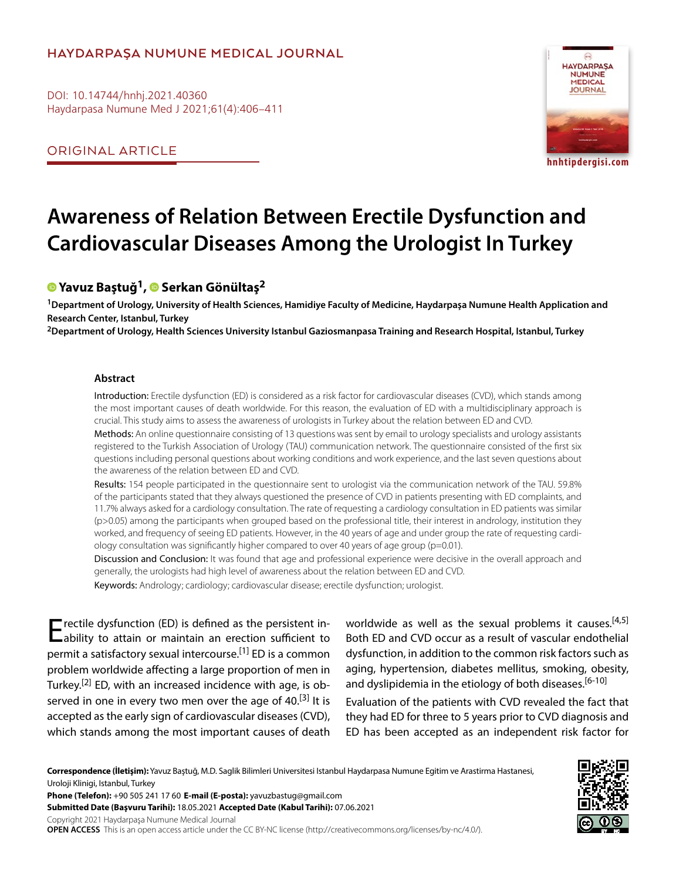# **HAYDARPAŞA NUMUNE MEDICAL JOURNAL**

DOI: 10.14744/hnhj.2021.40360 Haydarpasa Numune Med J 2021;61(4):406–411

ORIGINAL ARTICLE



**hnhtipdergisi.com**

# **Awareness of Relation Between Erectile Dysfunction and Cardiovascular Diseases Among the Urologist In Turkey**

# **[Y](https://orcid.org/0000-0002-9256-940X
)avuz Baştuğ1,Serkan Gönültaş2**

**1Department of Urology, University of Health Sciences, Hamidiye Faculty of Medicine, Haydarpaşa Numune Health Application and Research Center, Istanbul, Turkey**

**2Department of Urology, Health Sciences University Istanbul Gaziosmanpasa Training and Research Hospital, Istanbul, Turkey**

### **Abstract**

Introduction: Erectile dysfunction (ED) is considered as a risk factor for cardiovascular diseases (CVD), which stands among the most important causes of death worldwide. For this reason, the evaluation of ED with a multidisciplinary approach is crucial. This study aims to assess the awareness of urologists in Turkey about the relation between ED and CVD.

Methods: An online questionnaire consisting of 13 questions was sent by email to urology specialists and urology assistants registered to the Turkish Association of Urology (TAU) communication network. The questionnaire consisted of the first six questions including personal questions about working conditions and work experience, and the last seven questions about the awareness of the relation between ED and CVD.

Results: 154 people participated in the questionnaire sent to urologist via the communication network of the TAU. 59.8% of the participants stated that they always questioned the presence of CVD in patients presenting with ED complaints, and 11.7% always asked for a cardiology consultation. The rate of requesting a cardiology consultation in ED patients was similar  $(p>0.05)$  among the participants when grouped based on the professional title, their interest in andrology, institution they worked, and frequency of seeing ED patients. However, in the 40 years of age and under group the rate of requesting cardiology consultation was significantly higher compared to over 40 years of age group (p=0.01).

Discussion and Conclusion: It was found that age and professional experience were decisive in the overall approach and generally, the urologists had high level of awareness about the relation between ED and CVD.

Keywords: Andrology; cardiology; cardiovascular disease; erectile dysfunction; urologist.

Erectile dysfunction (ED) is defined as the persistent in-<br>
ability to attain or maintain an erection sufficient to permit a satisfactory sexual intercourse.<sup>[1]</sup> ED is a common problem worldwide affecting a large proportion of men in Turkey.<sup>[2]</sup> ED, with an increased incidence with age, is observed in one in every two men over the age of 40.<sup>[3]</sup> It is accepted as the early sign of cardiovascular diseases (CVD), which stands among the most important causes of death

worldwide as well as the sexual problems it causes.<sup>[4,5]</sup> Both ED and CVD occur as a result of vascular endothelial dysfunction, in addition to the common risk factors such as aging, hypertension, diabetes mellitus, smoking, obesity, and dyslipidemia in the etiology of both diseases.<sup>[6-10]</sup>

Evaluation of the patients with CVD revealed the fact that they had ED for three to 5 years prior to CVD diagnosis and ED has been accepted as an independent risk factor for

**Correspondence (İletişim):** Yavuz Baştuğ, M.D. Saglik Bilimleri Universitesi Istanbul Haydarpasa Numune Egitim ve Arastirma Hastanesi, Uroloji Klinigi, Istanbul, Turkey

**Phone (Telefon):** +90 505 241 17 60 **E-mail (E-posta):** yavuzbastug@gmail.com **Submitted Date (Başvuru Tarihi):** 18.05.2021 **Accepted Date (Kabul Tarihi):** 07.06.2021 Copyright 2021 Haydarpaşa Numune Medical Journal

**OPEN ACCESS** This is an open access article under the CC BY-NC license (http://creativecommons.org/licenses/by-nc/4.0/).

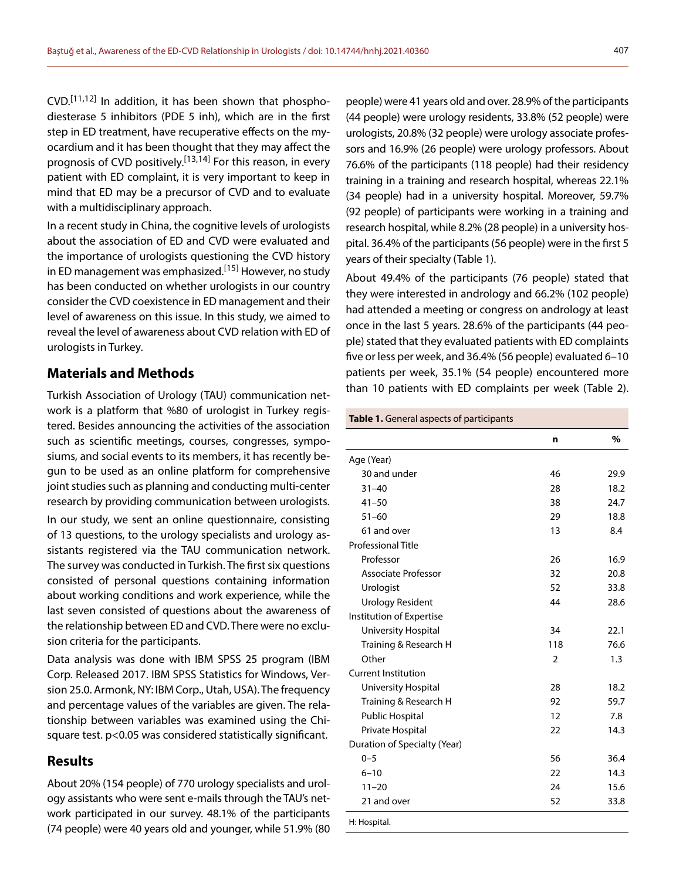$CVD.$ <sup>[11,12]</sup> In addition, it has been shown that phosphodiesterase 5 inhibitors (PDE 5 inh), which are in the first step in ED treatment, have recuperative effects on the myocardium and it has been thought that they may affect the prognosis of CVD positively.<sup>[13,14]</sup> For this reason, in every patient with ED complaint, it is very important to keep in mind that ED may be a precursor of CVD and to evaluate with a multidisciplinary approach.

In a recent study in China, the cognitive levels of urologists about the association of ED and CVD were evaluated and the importance of urologists questioning the CVD history in ED management was emphasized.<sup>[15]</sup> However, no study has been conducted on whether urologists in our country consider the CVD coexistence in ED management and their level of awareness on this issue. In this study, we aimed to reveal the level of awareness about CVD relation with ED of urologists in Turkey.

## **Materials and Methods**

Turkish Association of Urology (TAU) communication network is a platform that %80 of urologist in Turkey registered. Besides announcing the activities of the association such as scientific meetings, courses, congresses, symposiums, and social events to its members, it has recently begun to be used as an online platform for comprehensive joint studies such as planning and conducting multi-center research by providing communication between urologists.

In our study, we sent an online questionnaire, consisting of 13 questions, to the urology specialists and urology assistants registered via the TAU communication network. The survey was conducted in Turkish. The first six questions consisted of personal questions containing information about working conditions and work experience, while the last seven consisted of questions about the awareness of the relationship between ED and CVD. There were no exclusion criteria for the participants.

Data analysis was done with IBM SPSS 25 program (IBM Corp. Released 2017. IBM SPSS Statistics for Windows, Version 25.0. Armonk, NY: IBM Corp., Utah, USA). The frequency and percentage values of the variables are given. The relationship between variables was examined using the Chisquare test. p<0.05 was considered statistically significant.

## **Results**

About 20% (154 people) of 770 urology specialists and urology assistants who were sent e-mails through the TAU's network participated in our survey. 48.1% of the participants (74 people) were 40 years old and younger, while 51.9% (80

people) were 41 years old and over. 28.9% of the participants (44 people) were urology residents, 33.8% (52 people) were urologists, 20.8% (32 people) were urology associate professors and 16.9% (26 people) were urology professors. About 76.6% of the participants (118 people) had their residency training in a training and research hospital, whereas 22.1% (34 people) had in a university hospital. Moreover, 59.7% (92 people) of participants were working in a training and research hospital, while 8.2% (28 people) in a university hospital. 36.4% of the participants (56 people) were in the first 5 years of their specialty (Table 1).

About 49.4% of the participants (76 people) stated that they were interested in andrology and 66.2% (102 people) had attended a meeting or congress on andrology at least once in the last 5 years. 28.6% of the participants (44 people) stated that they evaluated patients with ED complaints five or less per week, and 36.4% (56 people) evaluated 6–10 patients per week, 35.1% (54 people) encountered more than 10 patients with ED complaints per week (Table 2).

#### **Table 1.** General aspects of participants

|                              | n             | %    |
|------------------------------|---------------|------|
| Age (Year)                   |               |      |
| 30 and under                 | 46            | 29.9 |
| $31 - 40$                    | 28            | 18.2 |
| $41 - 50$                    | 38            | 24.7 |
| $51 - 60$                    | 29            | 18.8 |
| 61 and over                  | 13            | 8.4  |
| <b>Professional Title</b>    |               |      |
| Professor                    | 26            | 16.9 |
| Associate Professor          | 32            | 20.8 |
| Urologist                    | 52            | 33.8 |
| <b>Urology Resident</b>      | 44            | 28.6 |
| Institution of Expertise     |               |      |
| University Hospital          | 34            | 22.1 |
| Training & Research H        | 118           | 76.6 |
| Other                        | $\mathcal{P}$ | 1.3  |
| <b>Current Institution</b>   |               |      |
| University Hospital          | 28            | 18.2 |
| Training & Research H        | 92            | 59.7 |
| <b>Public Hospital</b>       | 12            | 7.8  |
| Private Hospital             | 22            | 14.3 |
| Duration of Specialty (Year) |               |      |
| $0 - 5$                      | 56            | 36.4 |
| $6 - 10$                     | 22            | 14.3 |
| $11 - 20$                    | 24            | 15.6 |
| 21 and over                  | 52            | 33.8 |
| H: Hospital.                 |               |      |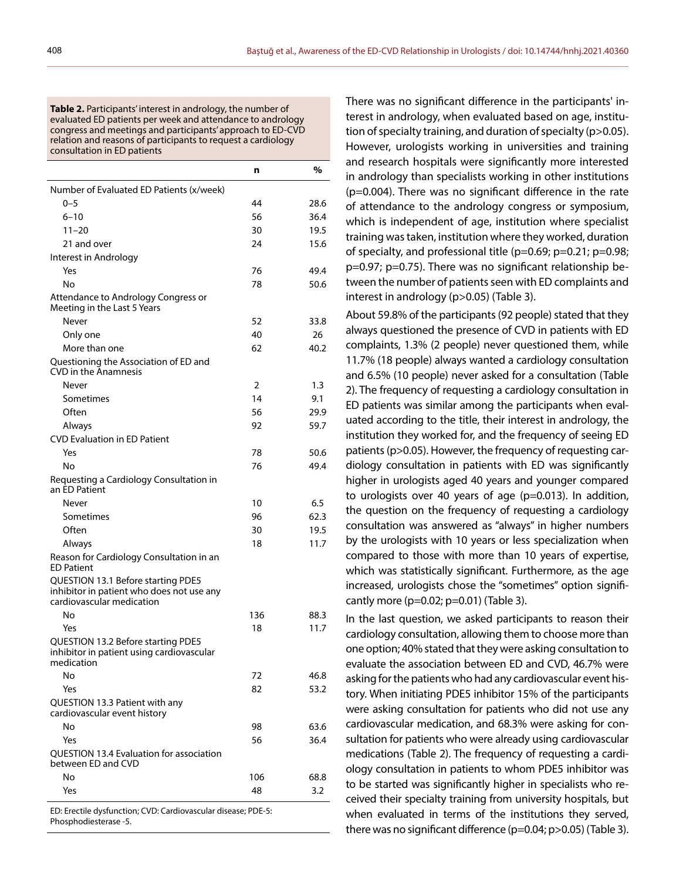**Table 2.** Participants' interest in andrology, the number of evaluated ED patients per week and attendance to andrology congress and meetings and participants' approach to ED-CVD relation and reasons of participants to request a cardiology consultation in ED patients

|                                                                                                              | n   | %    |
|--------------------------------------------------------------------------------------------------------------|-----|------|
| Number of Evaluated ED Patients (x/week)                                                                     |     |      |
| $0 - 5$                                                                                                      | 44  | 28.6 |
| $6 - 10$                                                                                                     | 56  | 36.4 |
| $11 - 20$                                                                                                    | 30  | 19.5 |
| 21 and over                                                                                                  | 24  | 15.6 |
| Interest in Andrology                                                                                        |     |      |
| Yes                                                                                                          | 76  | 49.4 |
| No                                                                                                           | 78  | 50.6 |
| Attendance to Andrology Congress or<br>Meeting in the Last 5 Years                                           |     |      |
| Never                                                                                                        | 52  | 33.8 |
| Only one                                                                                                     | 40  | 26   |
| More than one                                                                                                | 62  | 40.2 |
| Questioning the Association of ED and<br><b>CVD</b> in the Anamnesis                                         |     |      |
| Never                                                                                                        | 2   | 1.3  |
| Sometimes                                                                                                    | 14  | 9.1  |
| Often                                                                                                        | 56  | 29.9 |
| Always                                                                                                       | 92  | 59.7 |
| <b>CVD Evaluation in ED Patient</b>                                                                          |     |      |
| Yes                                                                                                          | 78  | 50.6 |
| No                                                                                                           | 76  | 49.4 |
| Requesting a Cardiology Consultation in<br>an ED Patient                                                     |     |      |
| Never                                                                                                        | 10  | 6.5  |
| Sometimes                                                                                                    | 96  | 62.3 |
| Often                                                                                                        | 30  | 19.5 |
| Always                                                                                                       | 18  | 11.7 |
| Reason for Cardiology Consultation in an<br><b>ED Patient</b>                                                |     |      |
| QUESTION 13.1 Before starting PDE5<br>inhibitor in patient who does not use any<br>cardiovascular medication |     |      |
| No                                                                                                           | 136 | 88.3 |
| Yes                                                                                                          | 18  | 11.7 |
| QUESTION 13.2 Before starting PDE5<br>inhibitor in patient using cardiovascular<br>medication                |     |      |
| No                                                                                                           | 72  | 46.8 |
| Yes                                                                                                          | 82  | 53.2 |
| QUESTION 13.3 Patient with any<br>cardiovascular event history                                               |     |      |
| No                                                                                                           | 98  | 63.6 |
| Yes                                                                                                          | 56  | 36.4 |
| QUESTION 13.4 Evaluation for association<br>between ED and CVD                                               |     |      |
| No                                                                                                           | 106 | 68.8 |
| Yes                                                                                                          | 48  | 3.2  |
| ED: Erectile dysfunction; CVD: Cardiovascular disease; PDE-5:                                                |     |      |

Phosphodiesterase -5.

There was no significant difference in the participants' interest in andrology, when evaluated based on age, institution of specialty training, and duration of specialty (p>0.05). However, urologists working in universities and training and research hospitals were significantly more interested in andrology than specialists working in other institutions (p=0.004). There was no significant difference in the rate of attendance to the andrology congress or symposium, which is independent of age, institution where specialist training was taken, institution where they worked, duration of specialty, and professional title (p=0.69; p=0.21; p=0.98; p=0.97; p=0.75). There was no significant relationship between the number of patients seen with ED complaints and interest in andrology (p>0.05) (Table 3).

About 59.8% of the participants (92 people) stated that they always questioned the presence of CVD in patients with ED complaints, 1.3% (2 people) never questioned them, while 11.7% (18 people) always wanted a cardiology consultation and 6.5% (10 people) never asked for a consultation (Table 2). The frequency of requesting a cardiology consultation in ED patients was similar among the participants when evaluated according to the title, their interest in andrology, the institution they worked for, and the frequency of seeing ED patients (p>0.05). However, the frequency of requesting cardiology consultation in patients with ED was significantly higher in urologists aged 40 years and younger compared to urologists over 40 years of age (p=0.013). In addition, the question on the frequency of requesting a cardiology consultation was answered as "always" in higher numbers by the urologists with 10 years or less specialization when compared to those with more than 10 years of expertise, which was statistically significant. Furthermore, as the age increased, urologists chose the "sometimes" option significantly more ( $p=0.02$ ;  $p=0.01$ ) (Table 3).

In the last question, we asked participants to reason their cardiology consultation, allowing them to choose more than one option; 40% stated that they were asking consultation to evaluate the association between ED and CVD, 46.7% were asking for the patients who had any cardiovascular event history. When initiating PDE5 inhibitor 15% of the participants were asking consultation for patients who did not use any cardiovascular medication, and 68.3% were asking for consultation for patients who were already using cardiovascular medications (Table 2). The frequency of requesting a cardiology consultation in patients to whom PDE5 inhibitor was to be started was significantly higher in specialists who received their specialty training from university hospitals, but when evaluated in terms of the institutions they served, there was no significant difference (p=0.04; p>0.05) (Table 3).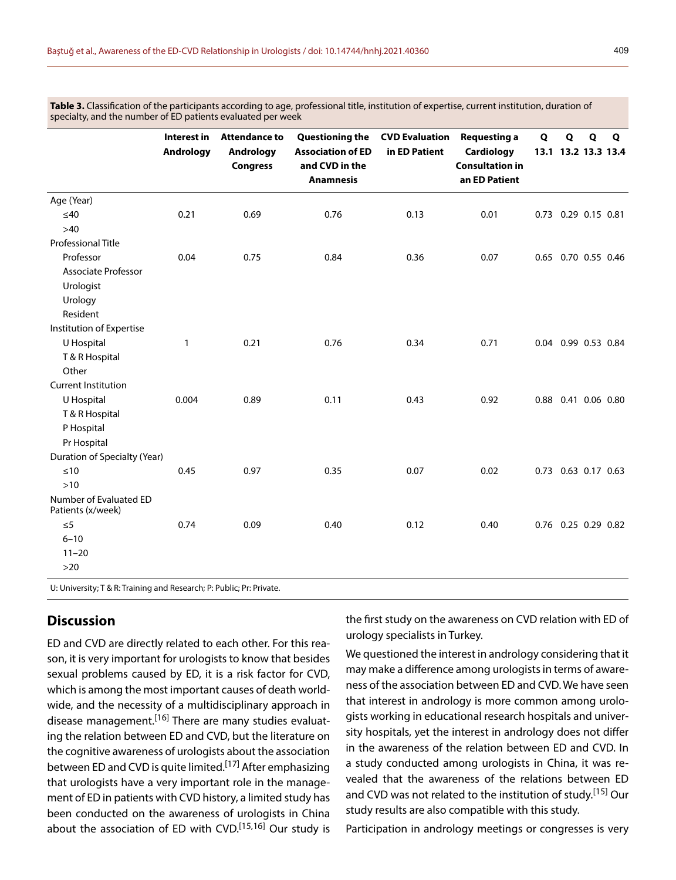Table 3. Classification of the participants according to age, professional title, institution of expertise, current institution, duration of specialty, and the number of ED patients evaluated per week

|                                             | Interest in<br>Andrology | <b>Attendance to</b><br>Andrology<br><b>Congress</b> | <b>Questioning the</b><br><b>Association of ED</b><br>and CVD in the<br><b>Anamnesis</b> | <b>CVD Evaluation</b><br>in ED Patient | <b>Requesting a</b><br><b>Cardiology</b><br><b>Consultation in</b><br>an ED Patient | Q | Q | Q | Q<br>13.1 13.2 13.3 13.4 |
|---------------------------------------------|--------------------------|------------------------------------------------------|------------------------------------------------------------------------------------------|----------------------------------------|-------------------------------------------------------------------------------------|---|---|---|--------------------------|
| Age (Year)                                  |                          |                                                      |                                                                                          |                                        |                                                                                     |   |   |   |                          |
| $≤40$                                       | 0.21                     | 0.69                                                 | 0.76                                                                                     | 0.13                                   | 0.01                                                                                |   |   |   | 0.73 0.29 0.15 0.81      |
| $>40$                                       |                          |                                                      |                                                                                          |                                        |                                                                                     |   |   |   |                          |
| <b>Professional Title</b>                   |                          |                                                      |                                                                                          |                                        |                                                                                     |   |   |   |                          |
| Professor                                   | 0.04                     | 0.75                                                 | 0.84                                                                                     | 0.36                                   | 0.07                                                                                |   |   |   | 0.65 0.70 0.55 0.46      |
| <b>Associate Professor</b>                  |                          |                                                      |                                                                                          |                                        |                                                                                     |   |   |   |                          |
| Urologist                                   |                          |                                                      |                                                                                          |                                        |                                                                                     |   |   |   |                          |
| Urology                                     |                          |                                                      |                                                                                          |                                        |                                                                                     |   |   |   |                          |
| Resident                                    |                          |                                                      |                                                                                          |                                        |                                                                                     |   |   |   |                          |
| Institution of Expertise                    |                          |                                                      |                                                                                          |                                        |                                                                                     |   |   |   |                          |
| U Hospital                                  | $\mathbf{1}$             | 0.21                                                 | 0.76                                                                                     | 0.34                                   | 0.71                                                                                |   |   |   | 0.04 0.99 0.53 0.84      |
| T & R Hospital                              |                          |                                                      |                                                                                          |                                        |                                                                                     |   |   |   |                          |
| Other                                       |                          |                                                      |                                                                                          |                                        |                                                                                     |   |   |   |                          |
| <b>Current Institution</b>                  |                          |                                                      |                                                                                          |                                        |                                                                                     |   |   |   |                          |
| U Hospital                                  | 0.004                    | 0.89                                                 | 0.11                                                                                     | 0.43                                   | 0.92                                                                                |   |   |   | 0.88 0.41 0.06 0.80      |
| T & R Hospital                              |                          |                                                      |                                                                                          |                                        |                                                                                     |   |   |   |                          |
| P Hospital                                  |                          |                                                      |                                                                                          |                                        |                                                                                     |   |   |   |                          |
| Pr Hospital                                 |                          |                                                      |                                                                                          |                                        |                                                                                     |   |   |   |                          |
| Duration of Specialty (Year)                |                          |                                                      |                                                                                          |                                        |                                                                                     |   |   |   |                          |
| $\leq 10$                                   | 0.45                     | 0.97                                                 | 0.35                                                                                     | 0.07                                   | 0.02                                                                                |   |   |   | 0.73 0.63 0.17 0.63      |
| $>10$                                       |                          |                                                      |                                                                                          |                                        |                                                                                     |   |   |   |                          |
| Number of Evaluated ED<br>Patients (x/week) |                          |                                                      |                                                                                          |                                        |                                                                                     |   |   |   |                          |
| $\leq 5$                                    | 0.74                     | 0.09                                                 | 0.40                                                                                     | 0.12                                   | 0.40                                                                                |   |   |   | 0.76 0.25 0.29 0.82      |
| $6 - 10$                                    |                          |                                                      |                                                                                          |                                        |                                                                                     |   |   |   |                          |
| $11 - 20$                                   |                          |                                                      |                                                                                          |                                        |                                                                                     |   |   |   |                          |
| $>20$                                       |                          |                                                      |                                                                                          |                                        |                                                                                     |   |   |   |                          |

U: University; T & R: Training and Research; P: Public; Pr: Private.

# **Discussion**

ED and CVD are directly related to each other. For this reason, it is very important for urologists to know that besides sexual problems caused by ED, it is a risk factor for CVD, which is among the most important causes of death worldwide, and the necessity of a multidisciplinary approach in disease management.<sup>[16]</sup> There are many studies evaluating the relation between ED and CVD, but the literature on the cognitive awareness of urologists about the association between ED and CVD is quite limited.<sup>[17]</sup> After emphasizing that urologists have a very important role in the management of ED in patients with CVD history, a limited study has been conducted on the awareness of urologists in China about the association of ED with CVD.<sup>[15,16]</sup> Our study is the first study on the awareness on CVD relation with ED of urology specialists in Turkey.

We questioned the interest in andrology considering that it may make a difference among urologists in terms of awareness of the association between ED and CVD. We have seen that interest in andrology is more common among urologists working in educational research hospitals and university hospitals, yet the interest in andrology does not differ in the awareness of the relation between ED and CVD. In a study conducted among urologists in China, it was revealed that the awareness of the relations between ED and CVD was not related to the institution of study.[15] Our study results are also compatible with this study.

Participation in andrology meetings or congresses is very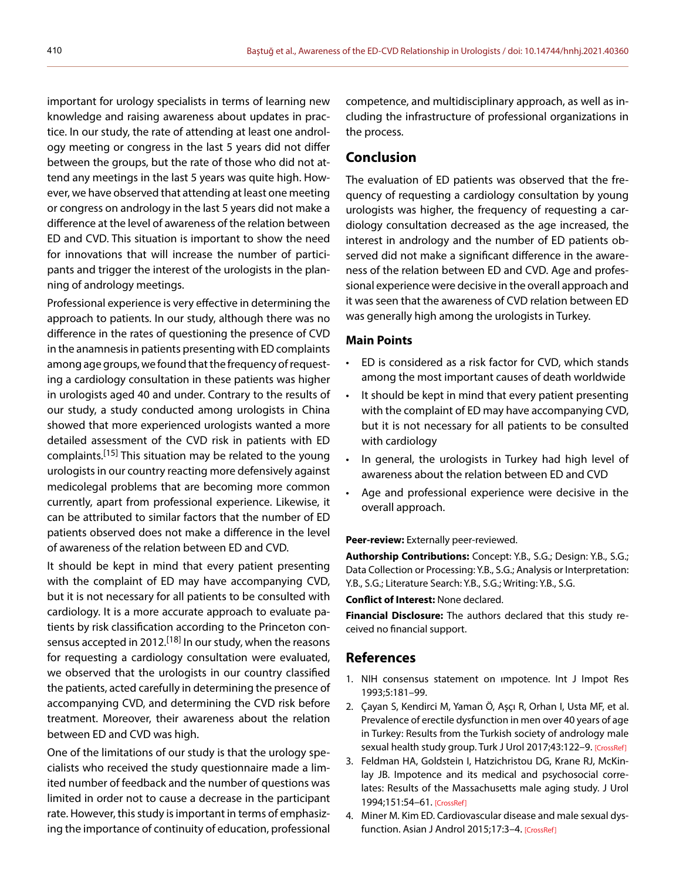important for urology specialists in terms of learning new knowledge and raising awareness about updates in practice. In our study, the rate of attending at least one andrology meeting or congress in the last 5 years did not differ between the groups, but the rate of those who did not attend any meetings in the last 5 years was quite high. However, we have observed that attending at least one meeting or congress on andrology in the last 5 years did not make a difference at the level of awareness of the relation between ED and CVD. This situation is important to show the need for innovations that will increase the number of participants and trigger the interest of the urologists in the planning of andrology meetings.

Professional experience is very effective in determining the approach to patients. In our study, although there was no difference in the rates of questioning the presence of CVD in the anamnesis in patients presenting with ED complaints among age groups, we found that the frequency of requesting a cardiology consultation in these patients was higher in urologists aged 40 and under. Contrary to the results of our study, a study conducted among urologists in China showed that more experienced urologists wanted a more detailed assessment of the CVD risk in patients with ED complaints.[15] This situation may be related to the young urologists in our country reacting more defensively against medicolegal problems that are becoming more common currently, apart from professional experience. Likewise, it can be attributed to similar factors that the number of ED patients observed does not make a difference in the level of awareness of the relation between ED and CVD.

It should be kept in mind that every patient presenting with the complaint of ED may have accompanying CVD, but it is not necessary for all patients to be consulted with cardiology. It is a more accurate approach to evaluate patients by risk classification according to the Princeton consensus accepted in 2012.<sup>[18]</sup> In our study, when the reasons for requesting a cardiology consultation were evaluated, we observed that the urologists in our country classified the patients, acted carefully in determining the presence of accompanying CVD, and determining the CVD risk before treatment. Moreover, their awareness about the relation between ED and CVD was high.

One of the limitations of our study is that the urology specialists who received the study questionnaire made a limited number of feedback and the number of questions was limited in order not to cause a decrease in the participant rate. However, this study is important in terms of emphasizing the importance of continuity of education, professional competence, and multidisciplinary approach, as well as including the infrastructure of professional organizations in the process.

## **Conclusion**

The evaluation of ED patients was observed that the frequency of requesting a cardiology consultation by young urologists was higher, the frequency of requesting a cardiology consultation decreased as the age increased, the interest in andrology and the number of ED patients observed did not make a significant difference in the awareness of the relation between ED and CVD. Age and professional experience were decisive in the overall approach and it was seen that the awareness of CVD relation between ED was generally high among the urologists in Turkey.

## **Main Points**

- ED is considered as a risk factor for CVD, which stands among the most important causes of death worldwide
- It should be kept in mind that every patient presenting with the complaint of ED may have accompanying CVD, but it is not necessary for all patients to be consulted with cardiology
- In general, the urologists in Turkey had high level of awareness about the relation between ED and CVD
- Age and professional experience were decisive in the overall approach.

#### **Peer-review:** Externally peer-reviewed.

**Authorship Contributions:** Concept: Y.B., S.G.; Design: Y.B., S.G.; Data Collection or Processing: Y.B., S.G.; Analysis or Interpretation: Y.B., S.G.; Literature Search: Y.B., S.G.; Writing: Y.B., S.G.

#### **Conflict of Interest:** None declared.

**Financial Disclosure:** The authors declared that this study received no financial support.

## **References**

- 1. NIH consensus statement on ımpotence. Int J Impot Res 1993;5:181–99.
- 2. Çayan S, Kendirci M, Yaman Ö, Aşçı R, Orhan I, Usta MF, et al. Prevalence of erectile dysfunction in men over 40 years of age in Turkey: Results from the Turkish society of andrology male sexual health study group. Turk J Urol 2017;43:122-9[. \[CrossRef\]](https://doi.org/10.5152/tud.2017.24886)
- 3. Feldman HA, Goldstein I, Hatzichristou DG, Krane RJ, McKinlay JB. Impotence and its medical and psychosocial correlates: Results of the Massachusetts male aging study. J Urol 1994;151:54–6[1. \[CrossRef\]](https://doi.org/10.1016/S0022-5347(17)34871-1)
- 4. Miner M. Kim ED. Cardiovascular disease and male sexual dys-function. Asian J Androl 2015;17:3-[4. \[CrossRef\]](https://doi.org/10.4103/1008-682X.143753)